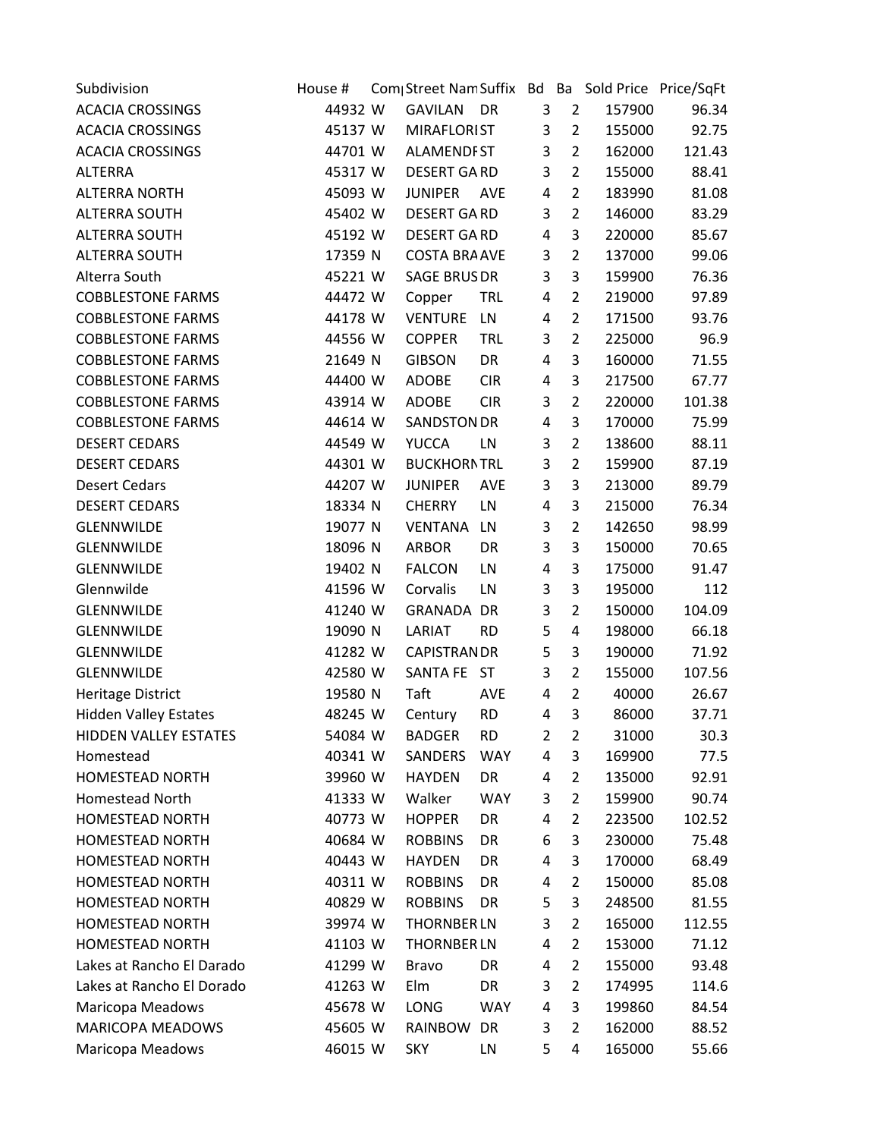| Subdivision                  | House # | Com Street Nam Suffix Bd Ba Sold Price Price/SqFt |            |                |                |        |        |
|------------------------------|---------|---------------------------------------------------|------------|----------------|----------------|--------|--------|
| <b>ACACIA CROSSINGS</b>      | 44932 W | <b>GAVILAN</b>                                    | DR         | 3              | $\overline{2}$ | 157900 | 96.34  |
| <b>ACACIA CROSSINGS</b>      | 45137 W | <b>MIRAFLORIST</b>                                |            | 3              | $\overline{2}$ | 155000 | 92.75  |
| <b>ACACIA CROSSINGS</b>      | 44701 W | <b>ALAMENDFST</b>                                 |            | 3              | $\overline{2}$ | 162000 | 121.43 |
| <b>ALTERRA</b>               | 45317 W | <b>DESERT GARD</b>                                |            | 3              | $\overline{2}$ | 155000 | 88.41  |
| <b>ALTERRA NORTH</b>         | 45093 W | <b>JUNIPER</b>                                    | AVE        | 4              | $\overline{2}$ | 183990 | 81.08  |
| <b>ALTERRA SOUTH</b>         | 45402 W | <b>DESERT GARD</b>                                |            | 3              | $\overline{2}$ | 146000 | 83.29  |
| <b>ALTERRA SOUTH</b>         | 45192 W | <b>DESERT GARD</b>                                |            | 4              | 3              | 220000 | 85.67  |
| <b>ALTERRA SOUTH</b>         | 17359 N | <b>COSTA BRA AVE</b>                              |            | 3              | $\overline{2}$ | 137000 | 99.06  |
| Alterra South                | 45221 W | <b>SAGE BRUS DR</b>                               |            | 3              | 3              | 159900 | 76.36  |
| <b>COBBLESTONE FARMS</b>     | 44472 W | Copper                                            | <b>TRL</b> | 4              | $\overline{2}$ | 219000 | 97.89  |
| <b>COBBLESTONE FARMS</b>     | 44178 W | <b>VENTURE</b>                                    | LN         | 4              | $\overline{2}$ | 171500 | 93.76  |
| <b>COBBLESTONE FARMS</b>     | 44556 W | <b>COPPER</b>                                     | <b>TRL</b> | 3              | $\overline{2}$ | 225000 | 96.9   |
| <b>COBBLESTONE FARMS</b>     | 21649 N | <b>GIBSON</b>                                     | DR         | $\overline{4}$ | 3              | 160000 | 71.55  |
| <b>COBBLESTONE FARMS</b>     | 44400 W | ADOBE                                             | <b>CIR</b> | 4              | 3              | 217500 | 67.77  |
| <b>COBBLESTONE FARMS</b>     | 43914 W | <b>ADOBE</b>                                      | <b>CIR</b> | 3              | $\overline{2}$ | 220000 | 101.38 |
| <b>COBBLESTONE FARMS</b>     | 44614 W | <b>SANDSTON DR</b>                                |            | 4              | 3              | 170000 | 75.99  |
| <b>DESERT CEDARS</b>         | 44549 W | <b>YUCCA</b>                                      | LN         | 3              | $\overline{2}$ | 138600 | 88.11  |
| <b>DESERT CEDARS</b>         | 44301 W | <b>BUCKHORNTRL</b>                                |            | 3              | $\overline{2}$ | 159900 | 87.19  |
| <b>Desert Cedars</b>         | 44207 W | <b>JUNIPER</b>                                    | <b>AVE</b> | 3              | 3              | 213000 | 89.79  |
| <b>DESERT CEDARS</b>         | 18334 N | <b>CHERRY</b>                                     | LN         | $\overline{4}$ | 3              | 215000 | 76.34  |
| <b>GLENNWILDE</b>            | 19077 N | <b>VENTANA</b>                                    | LN         | 3              | $\overline{2}$ | 142650 | 98.99  |
| <b>GLENNWILDE</b>            | 18096 N | <b>ARBOR</b>                                      | DR         | 3              | 3              | 150000 | 70.65  |
| <b>GLENNWILDE</b>            | 19402 N | <b>FALCON</b>                                     | LN         | 4              | 3              | 175000 | 91.47  |
| Glennwilde                   | 41596 W | Corvalis                                          | LN         | 3              | 3              | 195000 | 112    |
| <b>GLENNWILDE</b>            | 41240 W | GRANADA DR                                        |            | 3              | $\overline{2}$ | 150000 | 104.09 |
| <b>GLENNWILDE</b>            | 19090 N | LARIAT                                            | <b>RD</b>  | 5              | $\overline{4}$ | 198000 | 66.18  |
| <b>GLENNWILDE</b>            | 41282 W | <b>CAPISTRAN DR</b>                               |            | 5              | 3              | 190000 | 71.92  |
| <b>GLENNWILDE</b>            | 42580 W | SANTA FE ST                                       |            | 3              | $\overline{2}$ | 155000 | 107.56 |
| <b>Heritage District</b>     | 19580 N | Taft                                              | <b>AVE</b> | 4              | $\overline{2}$ | 40000  | 26.67  |
| <b>Hidden Valley Estates</b> | 48245 W | Century                                           | <b>RD</b>  | 4              | 3              | 86000  | 37.71  |
| <b>HIDDEN VALLEY ESTATES</b> | 54084 W | <b>BADGER</b>                                     | <b>RD</b>  | 2              | 2              | 31000  | 30.3   |
| Homestead                    | 40341 W | SANDERS                                           | <b>WAY</b> | 4              | 3              | 169900 | 77.5   |
| <b>HOMESTEAD NORTH</b>       | 39960 W | <b>HAYDEN</b>                                     | DR         | 4              | 2              | 135000 | 92.91  |
| <b>Homestead North</b>       | 41333 W | Walker                                            | <b>WAY</b> | 3              | $\overline{2}$ | 159900 | 90.74  |
| <b>HOMESTEAD NORTH</b>       | 40773 W | <b>HOPPER</b>                                     | DR         | 4              | $\overline{2}$ | 223500 | 102.52 |
| <b>HOMESTEAD NORTH</b>       | 40684 W | <b>ROBBINS</b>                                    | DR         | 6              | 3              | 230000 | 75.48  |
| <b>HOMESTEAD NORTH</b>       | 40443 W | <b>HAYDEN</b>                                     | DR         | 4              | 3              | 170000 | 68.49  |
| <b>HOMESTEAD NORTH</b>       | 40311 W | <b>ROBBINS</b>                                    | DR         | 4              | $\overline{2}$ | 150000 | 85.08  |
| <b>HOMESTEAD NORTH</b>       | 40829 W | <b>ROBBINS</b>                                    | DR         | 5              | 3              | 248500 | 81.55  |
| <b>HOMESTEAD NORTH</b>       | 39974 W | <b>THORNBER LN</b>                                |            | 3              | $\overline{2}$ | 165000 | 112.55 |
| <b>HOMESTEAD NORTH</b>       | 41103 W | <b>THORNBER LN</b>                                |            | 4              | $\overline{2}$ | 153000 | 71.12  |
| Lakes at Rancho El Darado    | 41299 W | <b>Bravo</b>                                      | DR         | 4              | $\overline{2}$ | 155000 | 93.48  |
| Lakes at Rancho El Dorado    | 41263 W | Elm                                               | DR         | 3              | $\overline{2}$ | 174995 | 114.6  |
| Maricopa Meadows             | 45678 W | <b>LONG</b>                                       | <b>WAY</b> | 4              | 3              | 199860 | 84.54  |
| <b>MARICOPA MEADOWS</b>      | 45605 W | RAINBOW                                           | DR         | 3              | 2              | 162000 | 88.52  |
| Maricopa Meadows             | 46015 W | <b>SKY</b>                                        | LN         | 5              | 4              | 165000 | 55.66  |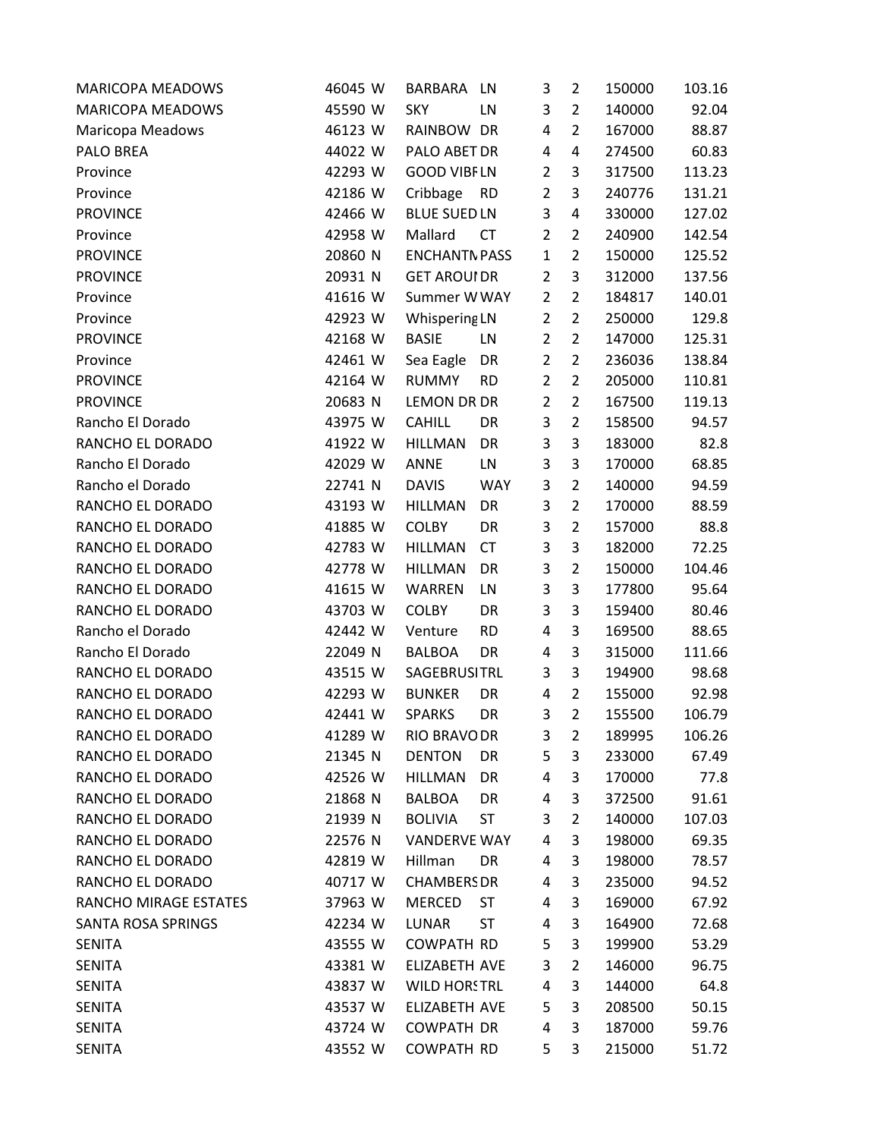| <b>MARICOPA MEADOWS</b> | 46045 W | <b>BARBARA</b><br>LN        | 3              | 2              | 150000 | 103.16 |
|-------------------------|---------|-----------------------------|----------------|----------------|--------|--------|
| <b>MARICOPA MEADOWS</b> | 45590 W | <b>SKY</b><br>LN            | 3              | $\overline{2}$ | 140000 | 92.04  |
| Maricopa Meadows        | 46123 W | RAINBOW DR                  | 4              | $\overline{2}$ | 167000 | 88.87  |
| PALO BREA               | 44022 W | PALO ABET DR                | 4              | 4              | 274500 | 60.83  |
| Province                | 42293 W | <b>GOOD VIBFLN</b>          | $\overline{2}$ | 3              | 317500 | 113.23 |
| Province                | 42186 W | Cribbage<br><b>RD</b>       | $\overline{2}$ | 3              | 240776 | 131.21 |
| <b>PROVINCE</b>         | 42466 W | <b>BLUE SUED LN</b>         | 3              | 4              | 330000 | 127.02 |
| Province                | 42958 W | Mallard<br><b>CT</b>        | $\overline{2}$ | $\overline{2}$ | 240900 | 142.54 |
| <b>PROVINCE</b>         | 20860 N | <b>ENCHANTN PASS</b>        | $\mathbf{1}$   | $\overline{2}$ | 150000 | 125.52 |
| <b>PROVINCE</b>         | 20931 N | <b>GET AROUI DR</b>         | $\overline{2}$ | 3              | 312000 | 137.56 |
| Province                | 41616 W | Summer W WAY                | $\overline{2}$ | $\overline{2}$ | 184817 | 140.01 |
| Province                | 42923 W | Whispering LN               | $\overline{2}$ | $\overline{2}$ | 250000 | 129.8  |
| <b>PROVINCE</b>         | 42168 W | <b>BASIE</b><br>LN          | $\overline{2}$ | $\overline{2}$ | 147000 | 125.31 |
| Province                | 42461 W | Sea Eagle<br>DR             | $\overline{2}$ | $\overline{2}$ | 236036 | 138.84 |
| <b>PROVINCE</b>         | 42164 W | <b>RUMMY</b><br><b>RD</b>   | $\overline{2}$ | $\overline{2}$ | 205000 | 110.81 |
| <b>PROVINCE</b>         | 20683 N | LEMON DR DR                 | $\overline{2}$ | $\overline{2}$ | 167500 | 119.13 |
| Rancho El Dorado        | 43975 W | <b>CAHILL</b><br>DR         | 3              | $\overline{2}$ | 158500 | 94.57  |
| RANCHO EL DORADO        | 41922 W | <b>HILLMAN</b><br>DR        | 3              | 3              | 183000 | 82.8   |
| Rancho El Dorado        | 42029 W | <b>ANNE</b><br>LN           | 3              | 3              | 170000 | 68.85  |
| Rancho el Dorado        | 22741 N | <b>DAVIS</b><br><b>WAY</b>  | 3              | $\overline{2}$ | 140000 | 94.59  |
| RANCHO EL DORADO        | 43193 W | <b>HILLMAN</b><br>DR        | 3              | $\overline{2}$ | 170000 | 88.59  |
| RANCHO EL DORADO        | 41885 W | <b>COLBY</b><br>DR          | 3              | $\overline{2}$ | 157000 | 88.8   |
| RANCHO EL DORADO        | 42783 W | <b>HILLMAN</b><br><b>CT</b> | 3              | 3              | 182000 | 72.25  |
| RANCHO EL DORADO        | 42778 W | <b>HILLMAN</b><br>DR        | 3              | $\overline{2}$ | 150000 | 104.46 |
| RANCHO EL DORADO        | 41615 W | <b>WARREN</b><br>LN         | 3              | 3              | 177800 | 95.64  |
| RANCHO EL DORADO        | 43703 W | <b>COLBY</b><br>DR          | 3              | 3              | 159400 | 80.46  |
| Rancho el Dorado        | 42442 W | <b>RD</b><br>Venture        | 4              | 3              | 169500 | 88.65  |
| Rancho El Dorado        | 22049 N | <b>BALBOA</b><br>DR         | 4              | 3              | 315000 | 111.66 |
| RANCHO EL DORADO        | 43515 W | <b>SAGEBRUSITRL</b>         | 3              | 3              | 194900 | 98.68  |
| RANCHO EL DORADO        | 42293 W | <b>BUNKER</b><br>DR         | 4              | 2              | 155000 | 92.98  |
| RANCHO EL DORADO        | 42441 W | <b>SPARKS</b><br>DR         | 3              | $\overline{2}$ | 155500 | 106.79 |
| RANCHO EL DORADO        | 41289 W | <b>RIO BRAVO DR</b>         | 3              | 2              | 189995 | 106.26 |
| RANCHO EL DORADO        | 21345 N | <b>DENTON</b><br>DR         | 5              | 3              | 233000 | 67.49  |
| RANCHO EL DORADO        | 42526 W | <b>HILLMAN</b><br>DR        | 4              | 3              | 170000 | 77.8   |
| RANCHO EL DORADO        | 21868 N | DR<br>BALBOA                | 4              | 3              | 372500 | 91.61  |
| RANCHO EL DORADO        | 21939 N | <b>BOLIVIA</b><br><b>ST</b> | 3              | 2              | 140000 | 107.03 |
| RANCHO EL DORADO        | 22576 N | <b>VANDERVE WAY</b>         | 4              | 3              | 198000 | 69.35  |
| RANCHO EL DORADO        | 42819 W | Hillman<br>DR               | 4              | 3              | 198000 | 78.57  |
| RANCHO EL DORADO        | 40717 W | <b>CHAMBERS DR</b>          | 4              | 3              | 235000 | 94.52  |
| RANCHO MIRAGE ESTATES   | 37963 W | <b>MERCED</b><br><b>ST</b>  | 4              | 3              | 169000 | 67.92  |
| SANTA ROSA SPRINGS      | 42234 W | <b>LUNAR</b><br>ST          | 4              | 3              | 164900 | 72.68  |
| <b>SENITA</b>           | 43555 W | <b>COWPATH RD</b>           | 5              | 3              | 199900 | 53.29  |
| <b>SENITA</b>           | 43381 W | ELIZABETH AVE               | 3              | 2              | 146000 | 96.75  |
| <b>SENITA</b>           | 43837 W | <b>WILD HORSTRL</b>         | 4              | 3              | 144000 | 64.8   |
| <b>SENITA</b>           | 43537 W | ELIZABETH AVE               | 5              | 3              | 208500 | 50.15  |
| <b>SENITA</b>           | 43724 W | <b>COWPATH DR</b>           | 4              | 3              | 187000 | 59.76  |
| <b>SENITA</b>           | 43552 W | <b>COWPATH RD</b>           | 5              | 3              | 215000 | 51.72  |
|                         |         |                             |                |                |        |        |